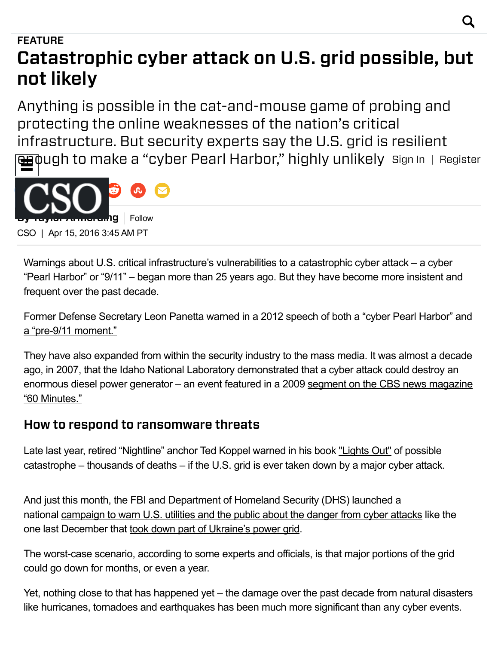# **FEATURE** Catastrophic cyber attack on U.S. grid possible, but not likely

Anything is possible in the cat-and-mouse game of probing and protecting the online weaknesses of the nation's critical infrastructure. But security experts say the U.S. grid is resilient **eg**pugh to make a "cyber Pearl Harbor," highly unlikely ≝ Sign In | Register



Warnings about U.S. critical infrastructure's vulnerabilities to a catastrophic cyber attack – a cyber "Pearl Harbor" or "9/11" – began more than 25 years ago. But they have become more insistent and frequent over the past decade.

Former Defense [Secretary](http://www.csoonline.com/article/719166/u.s.-rattles-preemptive-cyberattack-saber) Leon Panetta warned in a 2012 speech of both a "cyber Pearl Harbor" and a "pre-9/11 moment."

They have also expanded from within the security industry to the mass media. It was almost a decade ago, in 2007, that the Idaho National Laboratory demonstrated that a cyber attack could destroy an [enormous](https://www.youtube.com/watch?v=rTkXgqK1l9A) diesel power generator – an event featured in a 2009 segment on the CBS news magazine "60 Minutes."

### How to respond to ransomware threats

Late last year, retired "Nightline" anchor Ted Koppel warned in his book ["Lights](http://www.csoonline.com/article/3004819/business-continuity/ted-koppel-apocalypse-likely.html) Out" of possible catastrophe – thousands of deaths – if the U.S. grid is ever taken down by a major cyber attack.

And just this month, the FBI and Department of Homeland Security (DHS) launched a national [campaign](https://www.dhs.gov/blog/2016/03/07/dhs-works-critical-infrastructure-owners-and-operators-raise-awareness-cyber-threats) to warn U.S. utilities and the public about the danger from cyber attacks like the one last December that took down part of [Ukraine's](http://www.csoonline.com/article/3020398/security/russian-group-suspected-to-be-linked-to-ukraine-power-station-cyberattack.html) power grid.

The worst-case scenario, according to some experts and officials, is that major portions of the grid could go down for months, or even a year.

Yet, nothing close to that has happened yet – the damage over the past decade from natural disasters like hurricanes, tornadoes and earthquakes has been much more significant than any cyber events.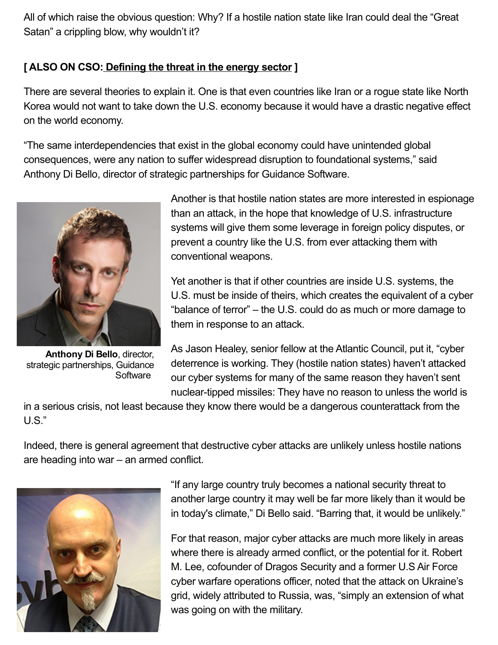All of which raise the obvious question: Why? If a hostile nation state like Iran could deal the "Great Satan" a crippling blow, why wouldn't it?

#### [ALSO ON CSO: [Defining](http://www.csoonline.com/article/3052260/techology-business/defining-the-threat-in-the-energy-sector.html) the threat in the energy sector]

There are several theories to explain it. One is that even countries like Iran or a rogue state like North Korea would not want to take down the U.S. economy because it would have a drastic negative effect on the world economy.

"The same interdependencies that exist in the global economy could have unintended global consequences, were any nation to suffer widespread disruption to foundational systems," said Anthony Di Bello, director of strategic partnerships for Guidance Software.



Anthony Di Bello, director, strategic partnerships, Guidance **Software** 

Another is that hostile nation states are more interested in espionage than an attack, in the hope that knowledge of U.S. infrastructure systems will give them some leverage in foreign policy disputes, or prevent a country like the U.S. from ever attacking them with conventional weapons.

Yet another is that if other countries are inside U.S. systems, the U.S. must be inside of theirs, which creates the equivalent of a cyber "balance of terror" – the U.S. could do as much or more damage to them in response to an attack.

As Jason Healey, senior fellow at the Atlantic Council, put it, "cyber deterrence is working. They (hostile nation states) haven't attacked our cyber systems for many of the same reason they haven't sent nuclear-tipped missiles: They have no reason to unless the world is

in a serious crisis, not least because they know there would be a dangerous counterattack from the U.S."

Indeed, there is general agreement that destructive cyber attacks are unlikely unless hostile nations are heading into war – an armed conflict.



"If any large country truly becomes a national security threat to another large country it may well be far more likely than it would be in today's climate," Di Bello said. "Barring that, it would be unlikely."

For that reason, major cyber attacks are much more likely in areas where there is already armed conflict, or the potential for it. Robert M. Lee, cofounder of Dragos Security and a former U.S Air Force cyber warfare operations officer, noted that the attack on Ukraine's grid, widely attributed to Russia, was, "simply an extension of what was going on with the military.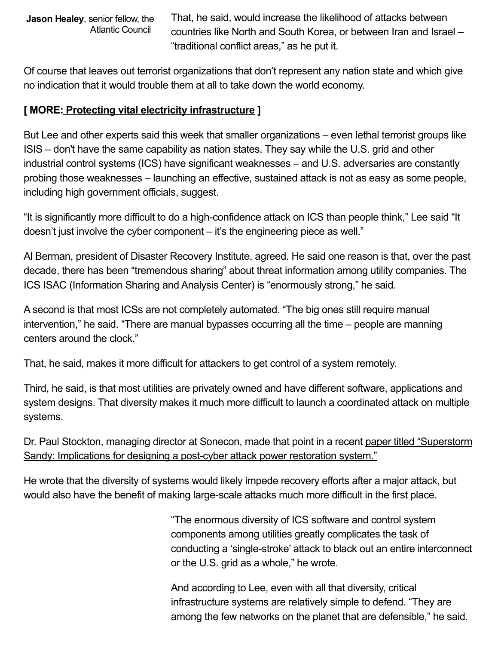Jason Healey, senior fellow, the Atlantic Council

That, he said, would increase the likelihood of attacks between countries like North and South Korea, or between Iran and Israel – "traditional conflict areas," as he put it.

Of course that leaves out terrorist organizations that don't represent any nation state and which give no indication that it would trouble them at all to take down the world economy.

#### [ MORE: Protecting vital electricity [infrastructure](http://www.csoonline.com/article/3036486/security/protecting-vital-electricity-infrastructure.html) ]

But Lee and other experts said this week that smaller organizations – even lethal terrorist groups like ISIS – don't have the same capability as nation states. They say while the U.S. grid and other industrial control systems (ICS) have significant weaknesses – and U.S. adversaries are constantly probing those weaknesses – launching an effective, sustained attack is not as easy as some people, including high government officials, suggest.

"It is significantly more difficult to do a high-confidence attack on ICS than people think," Lee said "It doesn't just involve the cyber component – it's the engineering piece as well."

Al Berman, president of Disaster Recovery Institute, agreed. He said one reason is that, over the past decade, there has been "tremendous sharing" about threat information among utility companies. The ICS ISAC (Information Sharing and Analysis Center) is "enormously strong," he said.

A second is that most ICSs are not completely automated. "The big ones still require manual intervention," he said. "There are manual bypasses occurring all the time – people are manning centers around the clock."

That, he said, makes it more difficult for attackers to get control of a system remotely.

Third, he said, is that most utilities are privately owned and have different software, applications and system designs. That diversity makes it much more difficult to launch a coordinated attack on multiple systems.

Dr. Paul Stockton, managing director at Sonecon, made that point in a recent paper titled ["Superstorm](http://www.jhuapl.edu/ourwork/nsa/papers/PostCyberAttack.pdf) Sandy: Implications for designing a post-cyber attack power restoration system."

He wrote that the diversity of systems would likely impede recovery efforts after a major attack, but would also have the benefit of making large-scale attacks much more difficult in the first place.

> "The enormous diversity of ICS software and control system components among utilities greatly complicates the task of conducting a 'single-stroke' attack to black out an entire interconnect or the U.S. grid as a whole," he wrote.

And according to Lee, even with all that diversity, critical infrastructure systems are relatively simple to defend. "They are among the few networks on the planet that are defensible," he said.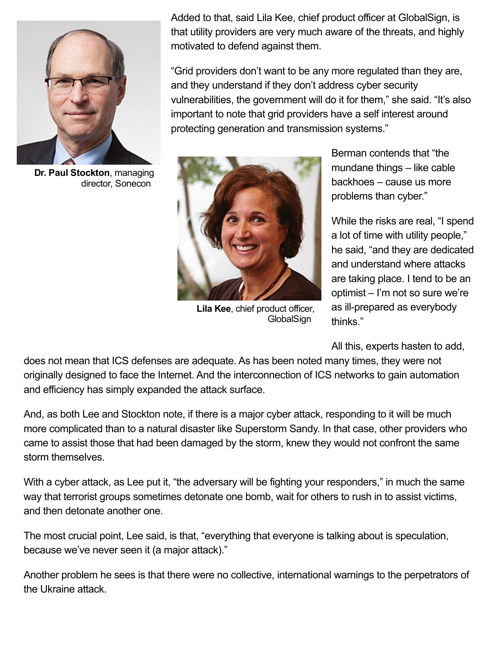

Dr. Paul Stockton, managing director, Sonecon

Added to that, said Lila Kee, chief product officer at GlobalSign, is that utility providers are very much aware of the threats, and highly motivated to defend against them.

"Grid providers don't want to be any more regulated than they are, and they understand if they don't address cyber security vulnerabilities, the government will do it for them," she said. "It's also important to note that grid providers have a self interest around protecting generation and transmission systems."



Lila Kee, chief product officer, **GlobalSign** 

Berman contends that "the mundane things – like cable backhoes – cause us more problems than cyber."

While the risks are real, "I spend a lot of time with utility people," he said, "and they are dedicated and understand where attacks are taking place. I tend to be an optimist – I'm not so sure we're as ill-prepared as everybody thinks."

All this, experts hasten to add,

does not mean that ICS defenses are adequate. As has been noted many times, they were not originally designed to face the Internet. And the interconnection of ICS networks to gain automation and efficiency has simply expanded the attack surface.

And, as both Lee and Stockton note, if there is a major cyber attack, responding to it will be much more complicated than to a natural disaster like Superstorm Sandy. In that case, other providers who came to assist those that had been damaged by the storm, knew they would not confront the same storm themselves.

With a cyber attack, as Lee put it, "the adversary will be fighting your responders," in much the same way that terrorist groups sometimes detonate one bomb, wait for others to rush in to assist victims, and then detonate another one.

The most crucial point, Lee said, is that, "everything that everyone is talking about is speculation, because we've never seen it (a major attack)."

Another problem he sees is that there were no collective, international warnings to the perpetrators of the Ukraine attack.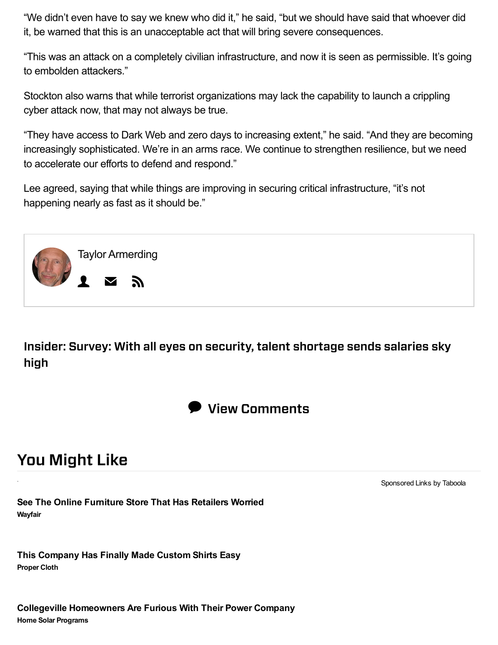"We didn't even have to say we knew who did it," he said, "but we should have said that whoever did it, be warned that this is an unacceptable act that will bring severe consequences.

"This was an attack on a completely civilian infrastructure, and now it is seen as permissible. It's going to embolden attackers."

Stockton also warns that while terrorist organizations may lack the capability to launch a crippling cyber attack now, that may not always be true.

"They have access to Dark Web and zero days to increasing extent," he said. "And they are becoming increasingly sophisticated. We're in an arms race. We continue to strengthen resilience, but we need to accelerate our efforts to defend and respond."

Lee agreed, saying that while things are improving in securing critical infrastructure, "it's not happening nearly as fast as it should be."



Insider: Survey: With all eyes on security, talent shortage sends salaries sky high



## **You Might Like**

Sponsored Links by Taboola

See The Online Furniture Store That Has Retailers Worried Wayfair

This Company Has Finally Made Custom Shirts Easy **Proper Cloth**